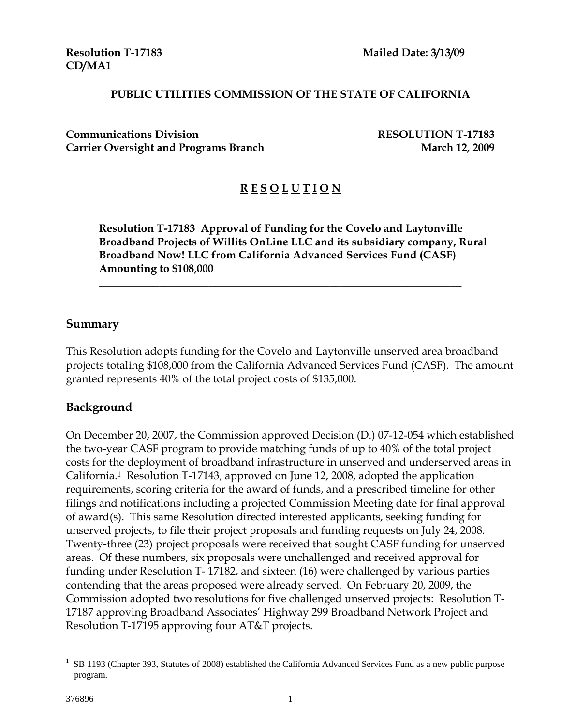**CD/MA1** 

#### **PUBLIC UTILITIES COMMISSION OF THE STATE OF CALIFORNIA**

**Communications Division RESOLUTION T-17183 Carrier Oversight and Programs Branch March 12, 2009** 

# **R E S O L U T I O N**

**Resolution T-17183 Approval of Funding for the Covelo and Laytonville Broadband Projects of Willits OnLine LLC and its subsidiary company, Rural Broadband Now! LLC from California Advanced Services Fund (CASF) Amounting to \$108,000** 

 $\overline{\phantom{a}}$  , and the contract of the contract of the contract of the contract of the contract of the contract of the contract of the contract of the contract of the contract of the contract of the contract of the contrac

#### **Summary**

This Resolution adopts funding for the Covelo and Laytonville unserved area broadband projects totaling \$108,000 from the California Advanced Services Fund (CASF). The amount granted represents 40% of the total project costs of \$135,000.

### **Background**

On December 20, 2007, the Commission approved Decision (D.) 07-12-054 which established the two-year CASF program to provide matching funds of up to 40% of the total project costs for the deployment of broadband infrastructure in unserved and underserved areas in California.1 Resolution T-17143, approved on June 12, 2008, adopted the application requirements, scoring criteria for the award of funds, and a prescribed timeline for other filings and notifications including a projected Commission Meeting date for final approval of award(s). This same Resolution directed interested applicants, seeking funding for unserved projects, to file their project proposals and funding requests on July 24, 2008. Twenty-three (23) project proposals were received that sought CASF funding for unserved areas. Of these numbers, six proposals were unchallenged and received approval for funding under Resolution T- 17182, and sixteen (16) were challenged by various parties contending that the areas proposed were already served. On February 20, 2009, the Commission adopted two resolutions for five challenged unserved projects: Resolution T-17187 approving Broadband Associates' Highway 299 Broadband Network Project and Resolution T-17195 approving four AT&T projects.

 $\overline{a}$ 

<sup>&</sup>lt;sup>1</sup> SB 1193 (Chapter 393, Statutes of 2008) established the California Advanced Services Fund as a new public purpose program.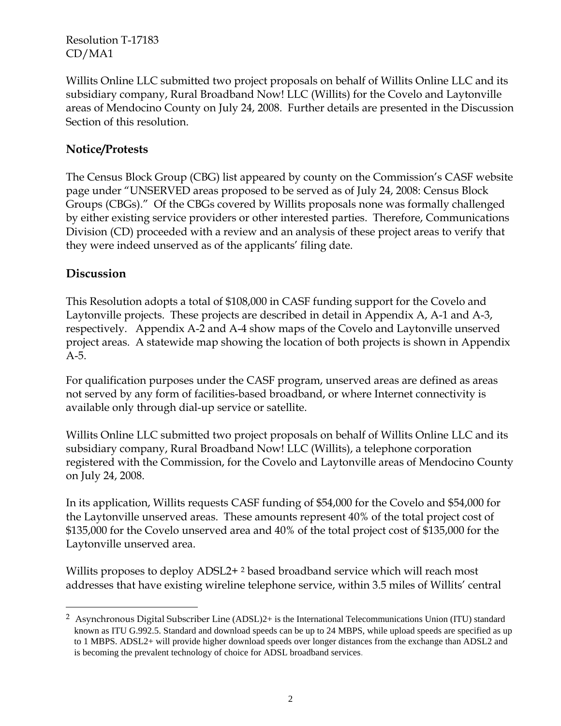Willits Online LLC submitted two project proposals on behalf of Willits Online LLC and its subsidiary company, Rural Broadband Now! LLC (Willits) for the Covelo and Laytonville areas of Mendocino County on July 24, 2008. Further details are presented in the Discussion Section of this resolution.

### **Notice/Protests**

The Census Block Group (CBG) list appeared by county on the Commission's CASF website page under "UNSERVED areas proposed to be served as of July 24, 2008: Census Block Groups (CBGs)." Of the CBGs covered by Willits proposals none was formally challenged by either existing service providers or other interested parties. Therefore, Communications Division (CD) proceeded with a review and an analysis of these project areas to verify that they were indeed unserved as of the applicants' filing date.

### **Discussion**

 $\overline{a}$ 

This Resolution adopts a total of \$108,000 in CASF funding support for the Covelo and Laytonville projects. These projects are described in detail in Appendix A, A-1 and A-3, respectively. Appendix A-2 and A-4 show maps of the Covelo and Laytonville unserved project areas. A statewide map showing the location of both projects is shown in Appendix A-5.

For qualification purposes under the CASF program, unserved areas are defined as areas not served by any form of facilities-based broadband, or where Internet connectivity is available only through dial-up service or satellite.

Willits Online LLC submitted two project proposals on behalf of Willits Online LLC and its subsidiary company, Rural Broadband Now! LLC (Willits), a telephone corporation registered with the Commission, for the Covelo and Laytonville areas of Mendocino County on July 24, 2008.

In its application, Willits requests CASF funding of \$54,000 for the Covelo and \$54,000 for the Laytonville unserved areas. These amounts represent 40% of the total project cost of \$135,000 for the Covelo unserved area and 40% of the total project cost of \$135,000 for the Laytonville unserved area.

Willits proposes to deploy ADSL2+<sup>2</sup> based broadband service which will reach most addresses that have existing wireline telephone service, within 3.5 miles of Willits' central

<sup>2</sup> Asynchronous Digital Subscriber Line (ADSL)2+ is the International Telecommunications Union (ITU) standard known as ITU G.992.5. Standard and download speeds can be up to 24 MBPS, while upload speeds are specified as up to 1 MBPS. ADSL2+ will provide higher download speeds over longer distances from the exchange than ADSL2 and is becoming the prevalent technology of choice for ADSL broadband services.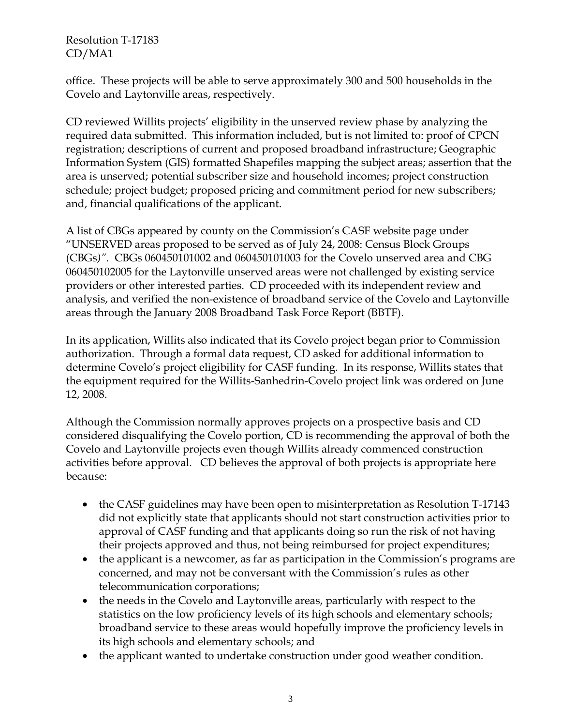office. These projects will be able to serve approximately 300 and 500 households in the Covelo and Laytonville areas, respectively.

CD reviewed Willits projects' eligibility in the unserved review phase by analyzing the required data submitted. This information included, but is not limited to: proof of CPCN registration; descriptions of current and proposed broadband infrastructure; Geographic Information System (GIS) formatted Shapefiles mapping the subject areas; assertion that the area is unserved; potential subscriber size and household incomes; project construction schedule; project budget; proposed pricing and commitment period for new subscribers; and, financial qualifications of the applicant.

A list of CBGs appeared by county on the Commission's CASF website page under "UNSERVED areas proposed to be served as of July 24, 2008: Census Block Groups (CBGs*)".* CBGs 060450101002 and 060450101003 for the Covelo unserved area and CBG 060450102005 for the Laytonville unserved areas were not challenged by existing service providers or other interested parties. CD proceeded with its independent review and analysis, and verified the non-existence of broadband service of the Covelo and Laytonville areas through the January 2008 Broadband Task Force Report (BBTF).

In its application, Willits also indicated that its Covelo project began prior to Commission authorization. Through a formal data request, CD asked for additional information to determine Covelo's project eligibility for CASF funding. In its response, Willits states that the equipment required for the Willits-Sanhedrin-Covelo project link was ordered on June 12, 2008.

Although the Commission normally approves projects on a prospective basis and CD considered disqualifying the Covelo portion, CD is recommending the approval of both the Covelo and Laytonville projects even though Willits already commenced construction activities before approval. CD believes the approval of both projects is appropriate here because:

- the CASF guidelines may have been open to misinterpretation as Resolution T-17143 did not explicitly state that applicants should not start construction activities prior to approval of CASF funding and that applicants doing so run the risk of not having their projects approved and thus, not being reimbursed for project expenditures;
- the applicant is a newcomer, as far as participation in the Commission's programs are concerned, and may not be conversant with the Commission's rules as other telecommunication corporations;
- the needs in the Covelo and Laytonville areas, particularly with respect to the statistics on the low proficiency levels of its high schools and elementary schools; broadband service to these areas would hopefully improve the proficiency levels in its high schools and elementary schools; and
- the applicant wanted to undertake construction under good weather condition.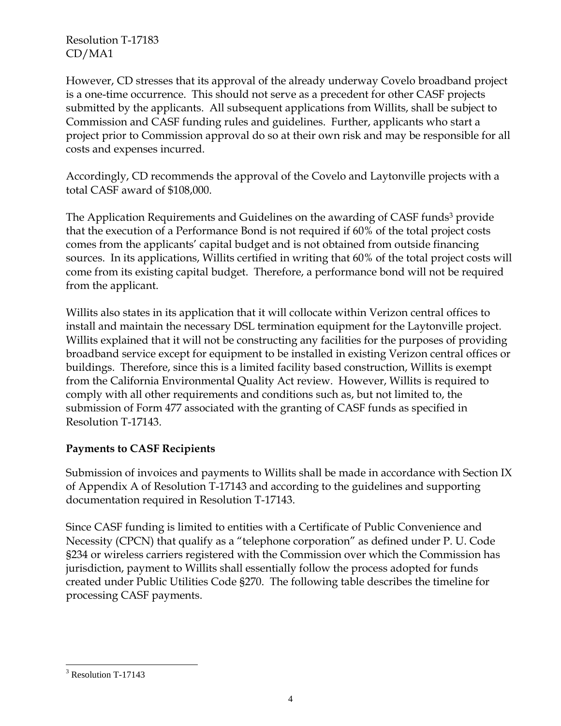However, CD stresses that its approval of the already underway Covelo broadband project is a one-time occurrence. This should not serve as a precedent for other CASF projects submitted by the applicants. All subsequent applications from Willits, shall be subject to Commission and CASF funding rules and guidelines. Further, applicants who start a project prior to Commission approval do so at their own risk and may be responsible for all costs and expenses incurred.

Accordingly, CD recommends the approval of the Covelo and Laytonville projects with a total CASF award of \$108,000.

The Application Requirements and Guidelines on the awarding of CASF funds<sup>3</sup> provide that the execution of a Performance Bond is not required if 60% of the total project costs comes from the applicants' capital budget and is not obtained from outside financing sources. In its applications, Willits certified in writing that 60% of the total project costs will come from its existing capital budget. Therefore, a performance bond will not be required from the applicant.

Willits also states in its application that it will collocate within Verizon central offices to install and maintain the necessary DSL termination equipment for the Laytonville project. Willits explained that it will not be constructing any facilities for the purposes of providing broadband service except for equipment to be installed in existing Verizon central offices or buildings. Therefore, since this is a limited facility based construction, Willits is exempt from the California Environmental Quality Act review. However, Willits is required to comply with all other requirements and conditions such as, but not limited to, the submission of Form 477 associated with the granting of CASF funds as specified in Resolution T-17143.

# **Payments to CASF Recipients**

Submission of invoices and payments to Willits shall be made in accordance with Section IX of Appendix A of Resolution T-17143 and according to the guidelines and supporting documentation required in Resolution T-17143.

Since CASF funding is limited to entities with a Certificate of Public Convenience and Necessity (CPCN) that qualify as a "telephone corporation" as defined under P. U. Code §234 or wireless carriers registered with the Commission over which the Commission has jurisdiction, payment to Willits shall essentially follow the process adopted for funds created under Public Utilities Code §270. The following table describes the timeline for processing CASF payments.

 $\overline{a}$ 

<sup>&</sup>lt;sup>3</sup> Resolution T-17143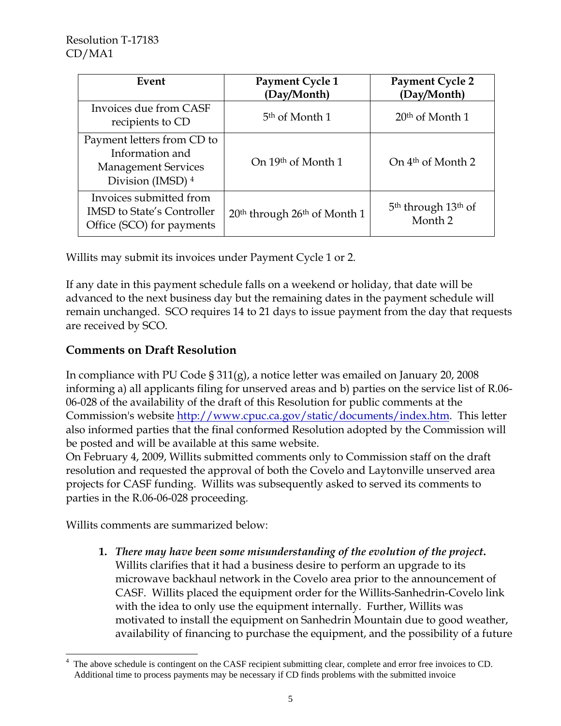| Event                                                                                            | Payment Cycle 1<br>(Day/Month)                       | <b>Payment Cycle 2</b><br>(Day/Month)                             |
|--------------------------------------------------------------------------------------------------|------------------------------------------------------|-------------------------------------------------------------------|
| Invoices due from CASF<br>recipients to CD                                                       | 5 <sup>th</sup> of Month 1                           | $20th$ of Month 1                                                 |
| Payment letters from CD to<br>Information and<br><b>Management Services</b><br>Division (IMSD) 4 | On 19th of Month 1                                   | On 4 <sup>th</sup> of Month 2                                     |
| Invoices submitted from<br><b>IMSD</b> to State's Controller<br>Office (SCO) for payments        | 20 <sup>th</sup> through 26 <sup>th</sup> of Month 1 | 5 <sup>th</sup> through 13 <sup>th</sup> of<br>Month <sub>2</sub> |

Willits may submit its invoices under Payment Cycle 1 or 2.

If any date in this payment schedule falls on a weekend or holiday, that date will be advanced to the next business day but the remaining dates in the payment schedule will remain unchanged. SCO requires 14 to 21 days to issue payment from the day that requests are received by SCO.

# **Comments on Draft Resolution**

In compliance with PU Code § 311(g), a notice letter was emailed on January 20, 2008 informing a) all applicants filing for unserved areas and b) parties on the service list of R.06- 06-028 of the availability of the draft of this Resolution for public comments at the Commission's website http://www.cpuc.ca.gov/static/documents/index.htm. This letter also informed parties that the final conformed Resolution adopted by the Commission will be posted and will be available at this same website.

On February 4, 2009, Willits submitted comments only to Commission staff on the draft resolution and requested the approval of both the Covelo and Laytonville unserved area projects for CASF funding. Willits was subsequently asked to served its comments to parties in the R.06-06-028 proceeding.

Willits comments are summarized below:

**1.** *There may have been some misunderstanding of the evolution of the project***.**  Willits clarifies that it had a business desire to perform an upgrade to its microwave backhaul network in the Covelo area prior to the announcement of CASF. Willits placed the equipment order for the Willits-Sanhedrin-Covelo link with the idea to only use the equipment internally. Further, Willits was motivated to install the equipment on Sanhedrin Mountain due to good weather, availability of financing to purchase the equipment, and the possibility of a future

 $\overline{a}$ 4 The above schedule is contingent on the CASF recipient submitting clear, complete and error free invoices to CD. Additional time to process payments may be necessary if CD finds problems with the submitted invoice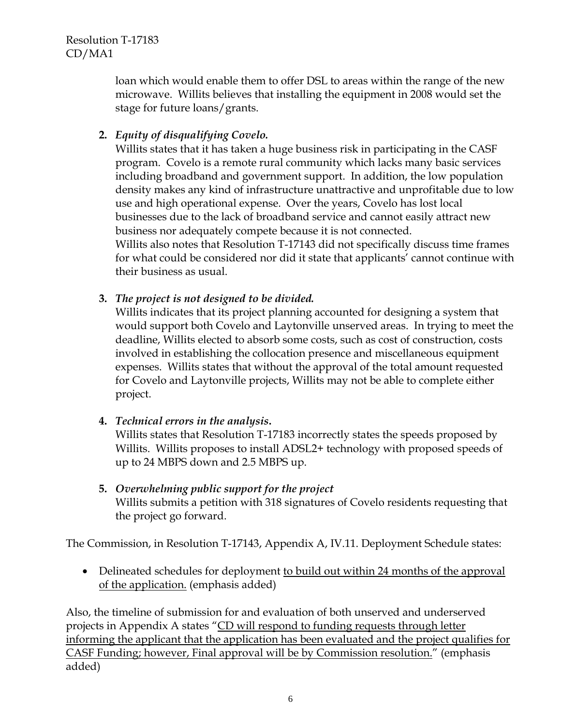> loan which would enable them to offer DSL to areas within the range of the new microwave. Willits believes that installing the equipment in 2008 would set the stage for future loans/grants.

**2.** *Equity of disqualifying Covelo.*

Willits states that it has taken a huge business risk in participating in the CASF program. Covelo is a remote rural community which lacks many basic services including broadband and government support. In addition, the low population density makes any kind of infrastructure unattractive and unprofitable due to low use and high operational expense. Over the years, Covelo has lost local businesses due to the lack of broadband service and cannot easily attract new business nor adequately compete because it is not connected. Willits also notes that Resolution T-17143 did not specifically discuss time frames

for what could be considered nor did it state that applicants' cannot continue with their business as usual.

### **3.** *The project is not designed to be divided.*

Willits indicates that its project planning accounted for designing a system that would support both Covelo and Laytonville unserved areas. In trying to meet the deadline, Willits elected to absorb some costs, such as cost of construction, costs involved in establishing the collocation presence and miscellaneous equipment expenses. Willits states that without the approval of the total amount requested for Covelo and Laytonville projects, Willits may not be able to complete either project.

# **4.** *Technical errors in the analysis***.**

Willits states that Resolution T-17183 incorrectly states the speeds proposed by Willits. Willits proposes to install ADSL2+ technology with proposed speeds of up to 24 MBPS down and 2.5 MBPS up.

**5.** *Overwhelming public support for the project* Willits submits a petition with 318 signatures of Covelo residents requesting that the project go forward.

The Commission, in Resolution T-17143, Appendix A, IV.11. Deployment Schedule states:

• Delineated schedules for deployment to build out within 24 months of the approval of the application. (emphasis added)

Also, the timeline of submission for and evaluation of both unserved and underserved projects in Appendix A states "CD will respond to funding requests through letter informing the applicant that the application has been evaluated and the project qualifies for CASF Funding; however, Final approval will be by Commission resolution." (emphasis added)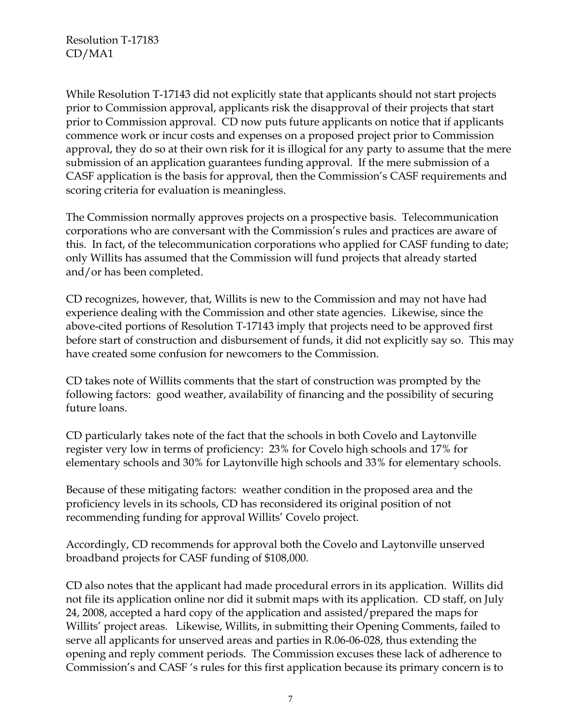While Resolution T-17143 did not explicitly state that applicants should not start projects prior to Commission approval, applicants risk the disapproval of their projects that start prior to Commission approval. CD now puts future applicants on notice that if applicants commence work or incur costs and expenses on a proposed project prior to Commission approval, they do so at their own risk for it is illogical for any party to assume that the mere submission of an application guarantees funding approval. If the mere submission of a CASF application is the basis for approval, then the Commission's CASF requirements and scoring criteria for evaluation is meaningless.

The Commission normally approves projects on a prospective basis. Telecommunication corporations who are conversant with the Commission's rules and practices are aware of this. In fact, of the telecommunication corporations who applied for CASF funding to date; only Willits has assumed that the Commission will fund projects that already started and/or has been completed.

CD recognizes, however, that, Willits is new to the Commission and may not have had experience dealing with the Commission and other state agencies. Likewise, since the above-cited portions of Resolution T-17143 imply that projects need to be approved first before start of construction and disbursement of funds, it did not explicitly say so. This may have created some confusion for newcomers to the Commission.

CD takes note of Willits comments that the start of construction was prompted by the following factors: good weather, availability of financing and the possibility of securing future loans.

CD particularly takes note of the fact that the schools in both Covelo and Laytonville register very low in terms of proficiency: 23% for Covelo high schools and 17% for elementary schools and 30% for Laytonville high schools and 33% for elementary schools.

Because of these mitigating factors: weather condition in the proposed area and the proficiency levels in its schools, CD has reconsidered its original position of not recommending funding for approval Willits' Covelo project.

Accordingly, CD recommends for approval both the Covelo and Laytonville unserved broadband projects for CASF funding of \$108,000.

CD also notes that the applicant had made procedural errors in its application. Willits did not file its application online nor did it submit maps with its application. CD staff, on July 24, 2008, accepted a hard copy of the application and assisted/prepared the maps for Willits' project areas. Likewise, Willits, in submitting their Opening Comments, failed to serve all applicants for unserved areas and parties in R.06-06-028, thus extending the opening and reply comment periods. The Commission excuses these lack of adherence to Commission's and CASF 's rules for this first application because its primary concern is to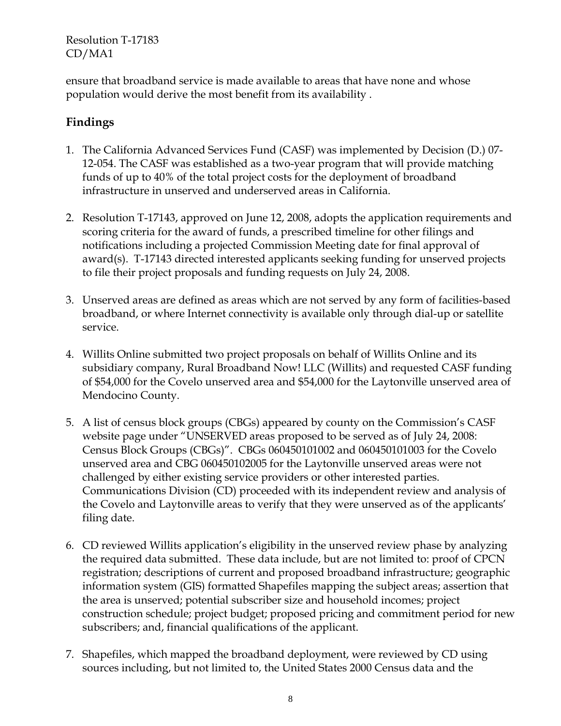ensure that broadband service is made available to areas that have none and whose population would derive the most benefit from its availability .

# **Findings**

- 1. The California Advanced Services Fund (CASF) was implemented by Decision (D.) 07- 12-054. The CASF was established as a two-year program that will provide matching funds of up to 40% of the total project costs for the deployment of broadband infrastructure in unserved and underserved areas in California.
- 2. Resolution T-17143, approved on June 12, 2008, adopts the application requirements and scoring criteria for the award of funds, a prescribed timeline for other filings and notifications including a projected Commission Meeting date for final approval of award(s). T-17143 directed interested applicants seeking funding for unserved projects to file their project proposals and funding requests on July 24, 2008.
- 3. Unserved areas are defined as areas which are not served by any form of facilities-based broadband, or where Internet connectivity is available only through dial-up or satellite service.
- 4. Willits Online submitted two project proposals on behalf of Willits Online and its subsidiary company, Rural Broadband Now! LLC (Willits) and requested CASF funding of \$54,000 for the Covelo unserved area and \$54,000 for the Laytonville unserved area of Mendocino County.
- 5. A list of census block groups (CBGs) appeared by county on the Commission's CASF website page under "UNSERVED areas proposed to be served as of July 24, 2008: Census Block Groups (CBGs)". CBGs 060450101002 and 060450101003 for the Covelo unserved area and CBG 060450102005 for the Laytonville unserved areas were not challenged by either existing service providers or other interested parties. Communications Division (CD) proceeded with its independent review and analysis of the Covelo and Laytonville areas to verify that they were unserved as of the applicants' filing date.
- 6. CD reviewed Willits application's eligibility in the unserved review phase by analyzing the required data submitted. These data include, but are not limited to: proof of CPCN registration; descriptions of current and proposed broadband infrastructure; geographic information system (GIS) formatted Shapefiles mapping the subject areas; assertion that the area is unserved; potential subscriber size and household incomes; project construction schedule; project budget; proposed pricing and commitment period for new subscribers; and, financial qualifications of the applicant.
- 7. Shapefiles, which mapped the broadband deployment, were reviewed by CD using sources including, but not limited to, the United States 2000 Census data and the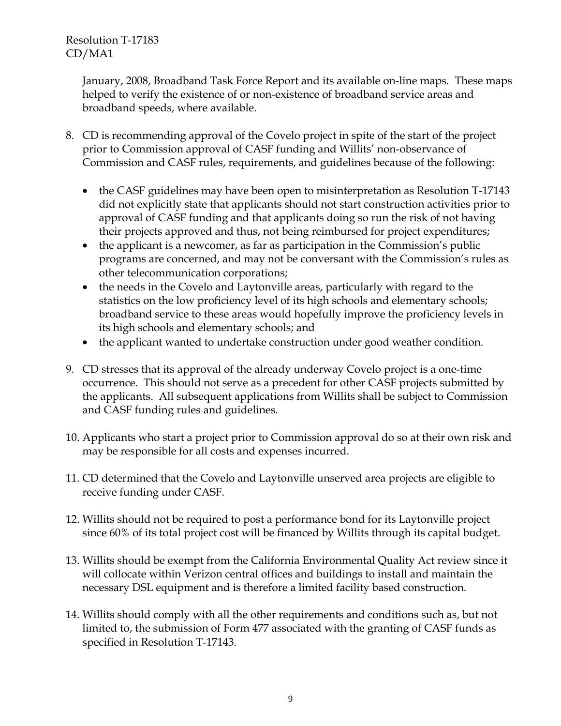> January, 2008, Broadband Task Force Report and its available on-line maps. These maps helped to verify the existence of or non-existence of broadband service areas and broadband speeds, where available.

- 8. CD is recommending approval of the Covelo project in spite of the start of the project prior to Commission approval of CASF funding and Willits' non-observance of Commission and CASF rules, requirements, and guidelines because of the following:
	- the CASF guidelines may have been open to misinterpretation as Resolution T-17143 did not explicitly state that applicants should not start construction activities prior to approval of CASF funding and that applicants doing so run the risk of not having their projects approved and thus, not being reimbursed for project expenditures;
	- the applicant is a newcomer, as far as participation in the Commission's public programs are concerned, and may not be conversant with the Commission's rules as other telecommunication corporations;
	- the needs in the Covelo and Laytonville areas, particularly with regard to the statistics on the low proficiency level of its high schools and elementary schools; broadband service to these areas would hopefully improve the proficiency levels in its high schools and elementary schools; and
	- the applicant wanted to undertake construction under good weather condition.
- 9. CD stresses that its approval of the already underway Covelo project is a one-time occurrence. This should not serve as a precedent for other CASF projects submitted by the applicants. All subsequent applications from Willits shall be subject to Commission and CASF funding rules and guidelines.
- 10. Applicants who start a project prior to Commission approval do so at their own risk and may be responsible for all costs and expenses incurred.
- 11. CD determined that the Covelo and Laytonville unserved area projects are eligible to receive funding under CASF.
- 12. Willits should not be required to post a performance bond for its Laytonville project since 60% of its total project cost will be financed by Willits through its capital budget.
- 13. Willits should be exempt from the California Environmental Quality Act review since it will collocate within Verizon central offices and buildings to install and maintain the necessary DSL equipment and is therefore a limited facility based construction.
- 14. Willits should comply with all the other requirements and conditions such as, but not limited to, the submission of Form 477 associated with the granting of CASF funds as specified in Resolution T-17143.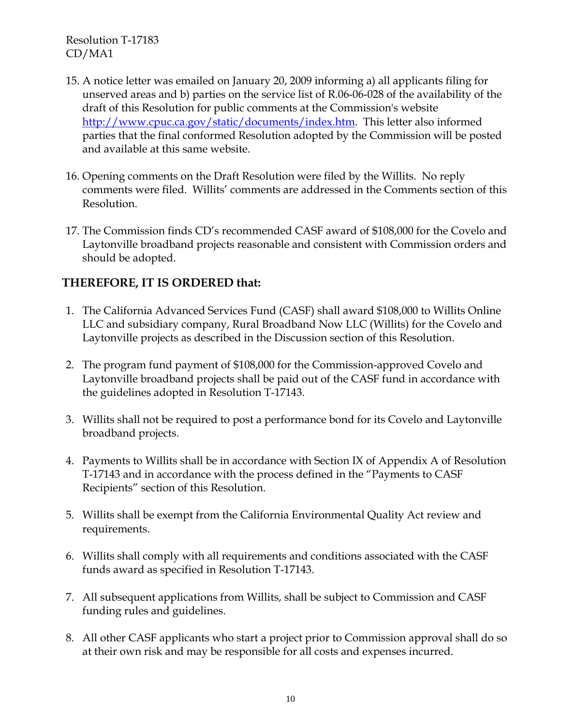- 15. A notice letter was emailed on January 20, 2009 informing a) all applicants filing for unserved areas and b) parties on the service list of R.06-06-028 of the availability of the draft of this Resolution for public comments at the Commission's website http://www.cpuc.ca.gov/static/documents/index.htm. This letter also informed parties that the final conformed Resolution adopted by the Commission will be posted and available at this same website.
- 16. Opening comments on the Draft Resolution were filed by the Willits. No reply comments were filed. Willits' comments are addressed in the Comments section of this Resolution.
- 17. The Commission finds CD's recommended CASF award of \$108,000 for the Covelo and Laytonville broadband projects reasonable and consistent with Commission orders and should be adopted.

# **THEREFORE, IT IS ORDERED that:**

- 1. The California Advanced Services Fund (CASF) shall award \$108,000 to Willits Online LLC and subsidiary company, Rural Broadband Now LLC (Willits) for the Covelo and Laytonville projects as described in the Discussion section of this Resolution.
- 2. The program fund payment of \$108,000 for the Commission-approved Covelo and Laytonville broadband projects shall be paid out of the CASF fund in accordance with the guidelines adopted in Resolution T-17143.
- 3. Willits shall not be required to post a performance bond for its Covelo and Laytonville broadband projects.
- 4. Payments to Willits shall be in accordance with Section IX of Appendix A of Resolution T-17143 and in accordance with the process defined in the "Payments to CASF Recipients" section of this Resolution.
- 5. Willits shall be exempt from the California Environmental Quality Act review and requirements.
- 6. Willits shall comply with all requirements and conditions associated with the CASF funds award as specified in Resolution T-17143.
- 7. All subsequent applications from Willits, shall be subject to Commission and CASF funding rules and guidelines.
- 8. All other CASF applicants who start a project prior to Commission approval shall do so at their own risk and may be responsible for all costs and expenses incurred.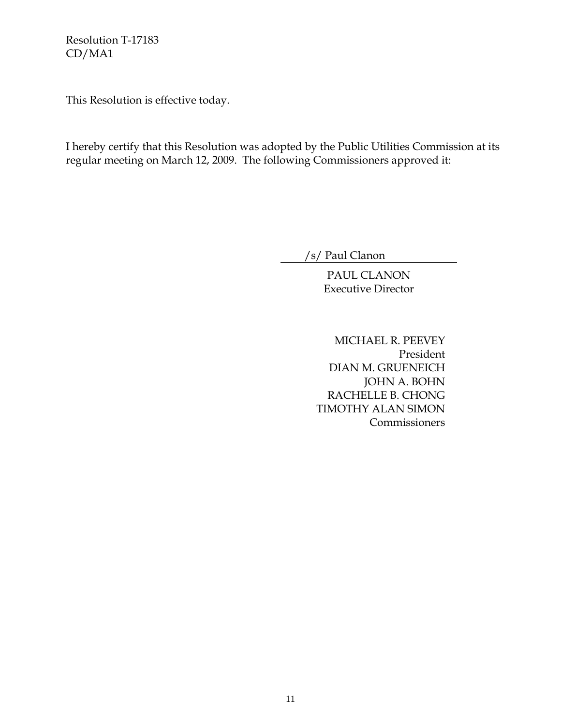This Resolution is effective today.

I hereby certify that this Resolution was adopted by the Public Utilities Commission at its regular meeting on March 12, 2009. The following Commissioners approved it:

/s/ Paul Clanon

PAUL CLANON Executive Director

MICHAEL R. PEEVEY President DIAN M. GRUENEICH JOHN A. BOHN RACHELLE B. CHONG TIMOTHY ALAN SIMON Commissioners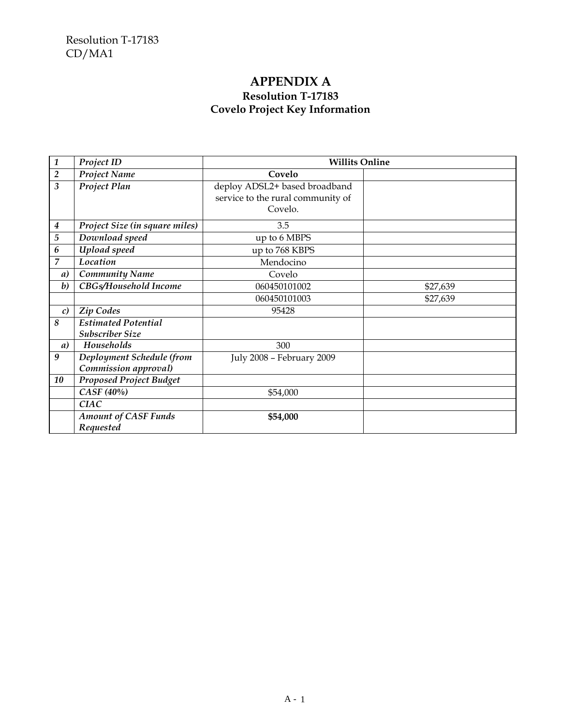# **APPENDIX A Resolution T-17183 Covelo Project Key Information**

| $\mathbf{1}$     | Project ID                                           | <b>Willits Online</b>                                                         |          |
|------------------|------------------------------------------------------|-------------------------------------------------------------------------------|----------|
| $\overline{2}$   | Project Name                                         | Covelo                                                                        |          |
| 3                | Project Plan                                         | deploy ADSL2+ based broadband<br>service to the rural community of<br>Covelo. |          |
| 4                | Project Size (in square miles)                       | 3.5                                                                           |          |
| $\overline{5}$   | Download speed                                       | up to 6 MBPS                                                                  |          |
| 6                | Upload speed                                         | up to 768 KBPS                                                                |          |
| 7                | Location                                             | Mendocino                                                                     |          |
| a)               | <b>Community Name</b>                                | Covelo                                                                        |          |
| $\boldsymbol{b}$ | CBGs/Household Income                                | 060450101002                                                                  | \$27,639 |
|                  |                                                      | 060450101003                                                                  | \$27,639 |
| c)               | <b>Zip Codes</b>                                     | 95428                                                                         |          |
| 8                | <b>Estimated Potential</b><br><b>Subscriber Size</b> |                                                                               |          |
| a)               | Households                                           | 300                                                                           |          |
| 9                | Deployment Schedule (from<br>Commission approval)    | July 2008 - February 2009                                                     |          |
| 10               | <b>Proposed Project Budget</b>                       |                                                                               |          |
|                  | CASF (40%)                                           | \$54,000                                                                      |          |
|                  | <b>CIAC</b>                                          |                                                                               |          |
|                  | <b>Amount of CASF Funds</b><br>Requested             | \$54,000                                                                      |          |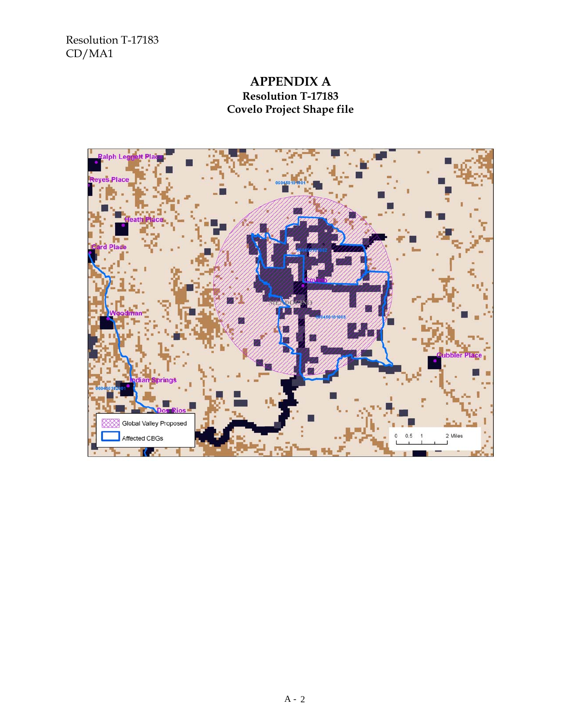# **APPENDIX A Resolution T-17183 Covelo Project Shape file**

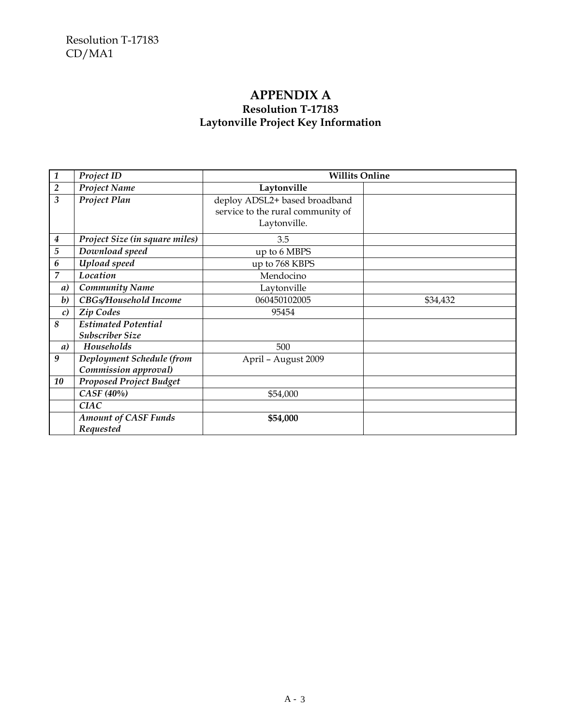# **APPENDIX A Resolution T-17183 Laytonville Project Key Information**

| $\mathbf{1}$     | Project ID                                           | <b>Willits Online</b>                                                              |          |
|------------------|------------------------------------------------------|------------------------------------------------------------------------------------|----------|
| $\overline{2}$   | Project Name                                         | Laytonville                                                                        |          |
| 3                | Project Plan                                         | deploy ADSL2+ based broadband<br>service to the rural community of<br>Laytonville. |          |
| $\boldsymbol{4}$ | Project Size (in square miles)                       | 3.5                                                                                |          |
| 5                | Download speed                                       | up to 6 MBPS                                                                       |          |
| 6                | Upload speed                                         | up to 768 KBPS                                                                     |          |
| 7                | Location                                             | Mendocino                                                                          |          |
| a)               | <b>Community Name</b>                                | Laytonville                                                                        |          |
| $\boldsymbol{b}$ | CBGs/Household Income                                | 060450102005                                                                       | \$34,432 |
| $\mathcal{C}$    | Zip Codes                                            | 95454                                                                              |          |
| 8                | <b>Estimated Potential</b><br><b>Subscriber Size</b> |                                                                                    |          |
| a)               | Households                                           | 500                                                                                |          |
| 9                | Deployment Schedule (from<br>Commission approval)    | April - August 2009                                                                |          |
| 10               | <b>Proposed Project Budget</b>                       |                                                                                    |          |
|                  | CASF (40%)                                           | \$54,000                                                                           |          |
|                  | <b>CIAC</b>                                          |                                                                                    |          |
|                  | <b>Amount of CASF Funds</b><br>Requested             | \$54,000                                                                           |          |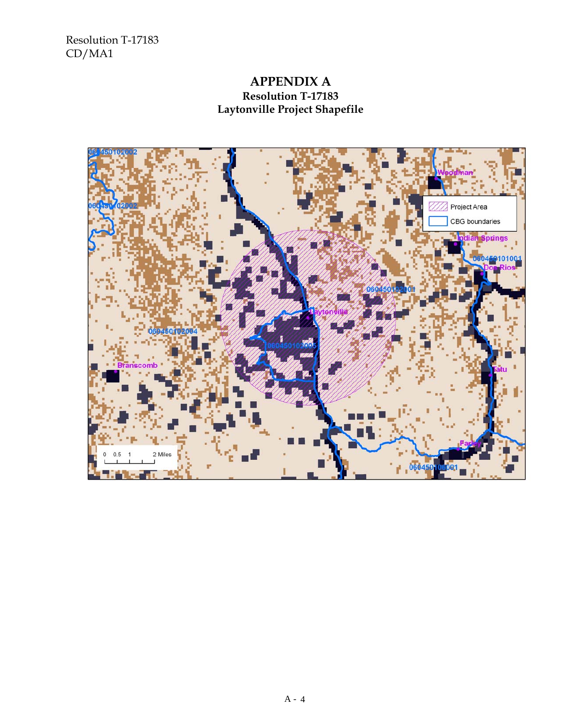# **APPENDIX A Resolution T-17183 Laytonville Project Shapefile**